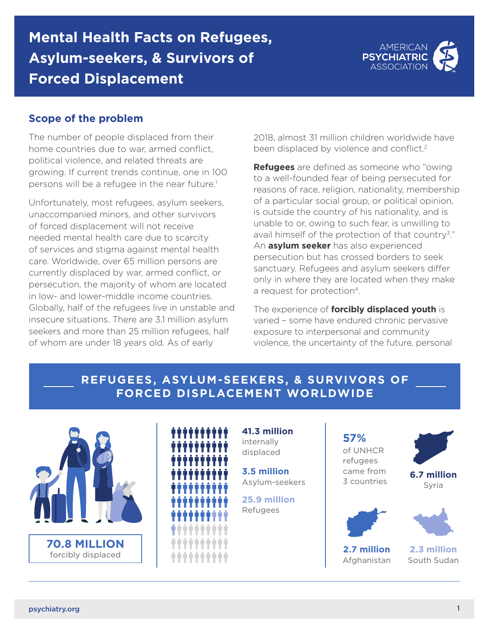## **Mental Health Facts on Refugees, Asylum-seekers, & Survivors of Forced Displacement**



#### **Scope of the problem**

The number of people displaced from their home countries due to war, armed conflict, political violence, and related threats are growing. If current trends continue, one in 100 persons will be a refugee in the near future.<sup>1</sup>

Unfortunately, most refugees, asylum seekers, unaccompanied minors, and other survivors of forced displacement will not receive needed mental health care due to scarcity of services and stigma against mental health care. Worldwide, over 65 million persons are currently displaced by war, armed conflict, or persecution, the majority of whom are located in low- and lower-middle income countries. Globally, half of the refugees live in unstable and insecure situations. There are 3.1 million asylum seekers and more than 25 million refugees, half of whom are under 18 years old. As of early

2018, almost 31 million children worldwide have been displaced by violence and conflict.<sup>2</sup>

**Refugees** are defined as someone who "owing to a well-founded fear of being persecuted for reasons of race, religion, nationality, membership of a particular social group, or political opinion, is outside the country of his nationality, and is unable to or, owing to such fear, is unwilling to avail himself of the protection of that country3." An **asylum seeker** has also experienced persecution but has crossed borders to seek sanctuary. Refugees and asylum seekers differ only in where they are located when they make a request for protection<sup>4</sup>.

The experience of **forcibly displaced youth** is varied – some have endured chronic pervasive exposure to interpersonal and community violence, the uncertainty of the future, personal

### **REFUGEES, ASYLUM-SEEKERS, & SURVIVORS OF FORCED DISPLACEMENT WORLDWIDE**



| Π | Ĥ      | ň              | ò      | Ů                 | Ô<br>חי חי חי חי חי חי חי חי חי חי | ň       | ň      | ň   | ÎΠ     |
|---|--------|----------------|--------|-------------------|------------------------------------|---------|--------|-----|--------|
| J | ň      | ň              | ò      | Å                 | ò<br>ים ביתר בתרום ביתר בתרום ב    | Å       | ň      | ň   |        |
|   | I.     | π              | ò      | Ů                 | Ô<br>ים הרובה הרובה הרובה ה        | Π       | Π      | ī   |        |
| Π | Ш      | П              | Ĥ      | m                 | ŇÑ.                                |         | П      | ш   | m      |
|   | Ĥ      | ň              | ň      | ň                 | .<br>ň                             | ň       | ň      | Ĥ   | m      |
| Ø |        |                |        |                   | .                                  |         |        |     |        |
| Ш | Ĥ<br>Ш | Ń<br>ш         | ň      | ň<br><b>THEFT</b> | ô                                  | Ó<br>H. | Ĥ<br>H | Ш   | ۰<br>П |
| П |        |                | Ш<br>I | ×<br>Ш<br>I       | $\Box$<br>I                        | m<br>ı  | Ш<br>I |     | II     |
| Ш |        | Ш              | U      | o<br>Ш            | ÷<br>U<br>I                        | ۰<br>m  | ۰<br>Ш | n n |        |
| ۰ |        | $\blacksquare$ | П<br>ı | $\circ$<br>m<br>I | $\blacksquare$<br>$\Box$<br>I      | m       |        |     |        |

**41.3 million** internally displaced

**3.5 million** Asylum-seekers

**25.9 million** Refugees

# **57%**

of UNHCR refugees came from 3 countries



**6.7 million** Syria

**2.7 million** Afghanistan

**2.3 million** South Sudan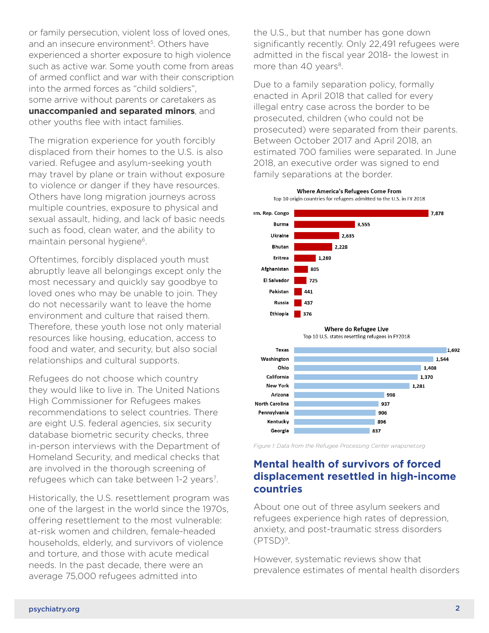or family persecution, violent loss of loved ones, and an insecure environment<sup>5</sup>. Others have experienced a shorter exposure to high violence such as active war. Some youth come from areas of armed conflict and war with their conscription into the armed forces as "child soldiers", some arrive without parents or caretakers as **unaccompanied and separated minors**, and other youths flee with intact families.

The migration experience for youth forcibly displaced from their homes to the U.S. is also varied. Refugee and asylum-seeking youth may travel by plane or train without exposure to violence or danger if they have resources. Others have long migration journeys across multiple countries, exposure to physical and sexual assault, hiding, and lack of basic needs such as food, clean water, and the ability to maintain personal hygiene<sup>6</sup>.

Oftentimes, forcibly displaced youth must abruptly leave all belongings except only the most necessary and quickly say goodbye to loved ones who may be unable to join. They do not necessarily want to leave the home environment and culture that raised them. Therefore, these youth lose not only material resources like housing, education, access to food and water, and security, but also social relationships and cultural supports.

Refugees do not choose which country they would like to live in. The United Nations High Commissioner for Refugees makes recommendations to select countries. There are eight U.S. federal agencies, six security database biometric security checks, three in-person interviews with the Department of Homeland Security, and medical checks that are involved in the thorough screening of refugees which can take between 1-2 years<sup>7</sup>.

Historically, the U.S. resettlement program was one of the largest in the world since the 1970s, offering resettlement to the most vulnerable: at-risk women and children, female-headed households, elderly, and survivors of violence and torture, and those with acute medical needs. In the past decade, there were an average 75,000 refugees admitted into

the U.S., but that number has gone down significantly recently. Only 22,491 refugees were admitted in the fiscal year 2018- the lowest in more than 40 years<sup>8</sup>.

Due to a family separation policy, formally enacted in April 2018 that called for every illegal entry case across the border to be prosecuted, children (who could not be prosecuted) were separated from their parents. Between October 2017 and April 2018, an estimated 700 families were separated. In June 2018, an executive order was signed to end family separations at the border.







*Figure 1: Data from the Refugee Processing Center wrapsnet.org*

### **Mental health of survivors of forced displacement resettled in high-income countries**

About one out of three asylum seekers and refugees experience high rates of depression, anxiety, and post-traumatic stress disorders (PTSD)9.

However, systematic reviews show that prevalence estimates of mental health disorders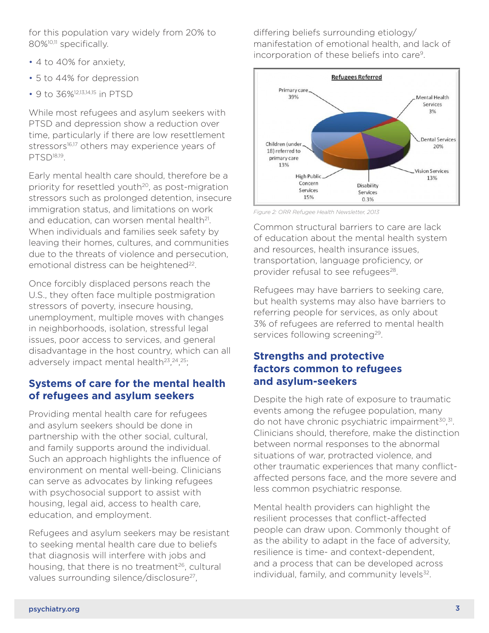for this population vary widely from 20% to 80%<sup>10,11</sup> specifically.

- 4 to 40% for anxiety,
- 5 to 44% for depression
- 9 to 36%<sup>12,13,14,15</sup> in PTSD

While most refugees and asylum seekers with PTSD and depression show a reduction over time, particularly if there are low resettlement stressors<sup>16,17</sup> others may experience years of PTSD18,19.

Early mental health care should, therefore be a priority for resettled youth<sup>20</sup>, as post-migration stressors such as prolonged detention, insecure immigration status, and limitations on work and education, can worsen mental health<sup>21</sup>. When individuals and families seek safety by leaving their homes, cultures, and communities due to the threats of violence and persecution, emotional distress can be heightened<sup>22</sup>.

Once forcibly displaced persons reach the U.S., they often face multiple postmigration stressors of poverty, insecure housing, unemployment, multiple moves with changes in neighborhoods, isolation, stressful legal issues, poor access to services, and general disadvantage in the host country, which can all adversely impact mental health<sup>23</sup>, <sup>24</sup>, <sup>25</sup>;

#### **Systems of care for the mental health of refugees and asylum seekers**

Providing mental health care for refugees and asylum seekers should be done in partnership with the other social, cultural, and family supports around the individual. Such an approach highlights the influence of environment on mental well-being. Clinicians can serve as advocates by linking refugees with psychosocial support to assist with housing, legal aid, access to health care, education, and employment.

Refugees and asylum seekers may be resistant to seeking mental health care due to beliefs that diagnosis will interfere with jobs and housing, that there is no treatment<sup>26</sup>, cultural values surrounding silence/disclosure<sup>27</sup>,

differing beliefs surrounding etiology/ manifestation of emotional health, and lack of incorporation of these beliefs into care9.



*Figure 2: ORR Refugee Health Newsletter, 2013*

Common structural barriers to care are lack of education about the mental health system and resources, health insurance issues, transportation, language proficiency, or provider refusal to see refugees<sup>28</sup>.

Refugees may have barriers to seeking care, but health systems may also have barriers to referring people for services, as only about 3% of refugees are referred to mental health services following screening<sup>29</sup>.

#### **Strengths and protective factors common to refugees and asylum-seekers**

Despite the high rate of exposure to traumatic events among the refugee population, many do not have chronic psychiatric impairment<sup>30</sup>,<sup>31</sup>. Clinicians should, therefore, make the distinction between normal responses to the abnormal situations of war, protracted violence, and other traumatic experiences that many conflictaffected persons face, and the more severe and less common psychiatric response.

Mental health providers can highlight the resilient processes that conflict-affected people can draw upon. Commonly thought of as the ability to adapt in the face of adversity, resilience is time- and context-dependent, and a process that can be developed across individual, family, and community levels<sup>32</sup>.